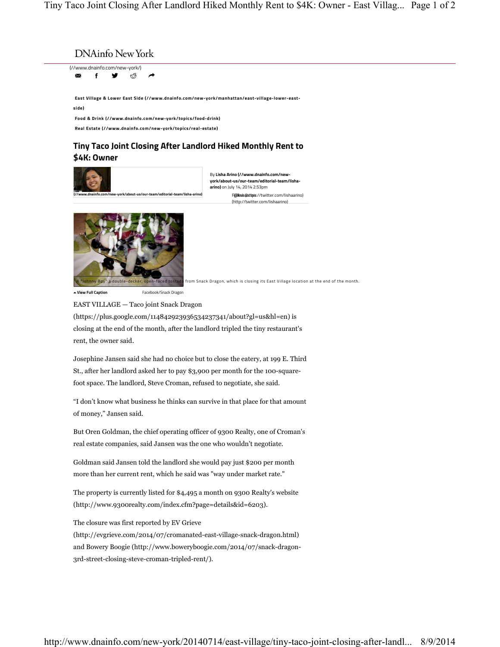(//www.dnainfo.com/new-york/) ⊠ f <del>Y</del> ⊕° *r* 

*DINAINI*O INEW YOTK<br>www.dnainfo.com/new-york/)<br>**xx** f **y** ۞<br>Fast Village & Lower East Side (//w<br>ide)<br>Food & Drink (//www.dnainfo.com/n<br>Real Estate (//www.dnainfo.com/n **East Village & Lower East Side (//www.dnainfo.com/new-york/manhattan/east-village-lower-eastside)**

**Food & Drink (//www.dnainfo.com/new-york/topics/food-drink) Real Estate (//www.dnainfo.com/new-york/topics/real-estate)**

## **Tiny Taco Joint Closing After Landlord Hiked Monthly Rent to \$4K: Owner**



By **Lisha Arino (//www.dnainfo.com/newyork/about-us/our-team/editorial-team/lishaarino)** on July 14, 2014 2:53pm F@llishaattips://twitter.com/lishaarino) (http://twitter.com/lishaarino)



<mark>ny Boy" a double-decker, open-faced tostada</mark> from Snack Dragon, which is closing its East Village location at the end of the month.

**View Full Caption** Facebook/Snack Dragon

EAST VILLAGE — Taco joint Snack Dragon (https://plus.google.com/114842923936534237341/about?gl=us&hl=en) is closing at the end of the month, after the landlord tripled the tiny restaurant's rent, the owner said.

Josephine Jansen said she had no choice but to close the eatery, at 199 E. Third St., after her landlord asked her to pay \$3,900 per month for the 100-squarefoot space. The landlord, Steve Croman, refused to negotiate, she said.

"I don't know what business he thinks can survive in that place for that amount of money," Jansen said.

But Oren Goldman, the chief operating officer of 9300 Realty, one of Croman's real estate companies, said Jansen was the one who wouldn't negotiate.

Goldman said Jansen told the landlord she would pay just \$200 per month more than her current rent, which he said was "way under market rate."

The property is currently listed for \$4,495 a month on 9300 Realty's website (http://www.9300realty.com/index.cfm?page=details&id=6203).

The closure was first reported by EV Grieve

(http://evgrieve.com/2014/07/cromanated-east-village-snack-dragon.html) and Bowery Boogie (http://www.boweryboogie.com/2014/07/snack-dragon-3rd-street-closing-steve-croman-tripled-rent/).